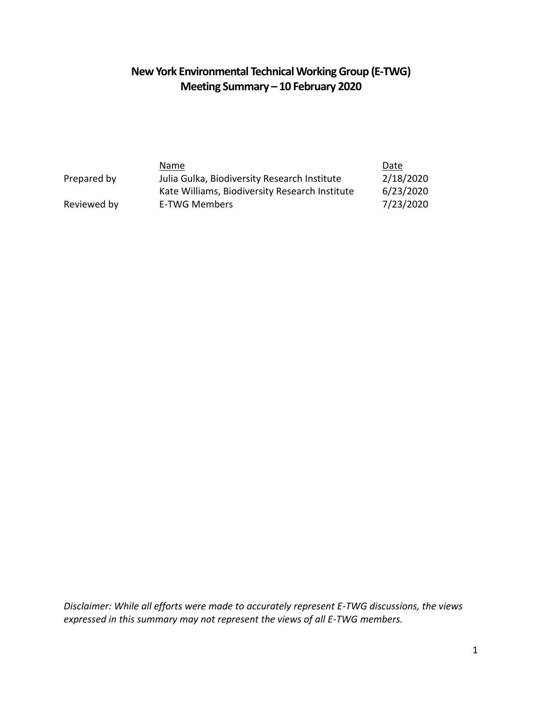# **New York Environmental Technical Working Group (E-TWG) Meeting Summary – 10 February 2020**

|             | Name                                           | Date      |
|-------------|------------------------------------------------|-----------|
| Prepared by | Julia Gulka, Biodiversity Research Institute   | 2/18/2020 |
|             | Kate Williams, Biodiversity Research Institute | 6/23/2020 |
| Reviewed by | E-TWG Members                                  | 7/23/2020 |

*Disclaimer: While all efforts were made to accurately represent E-TWG discussions, the views expressed in this summary may not represent the views of all E-TWG members.*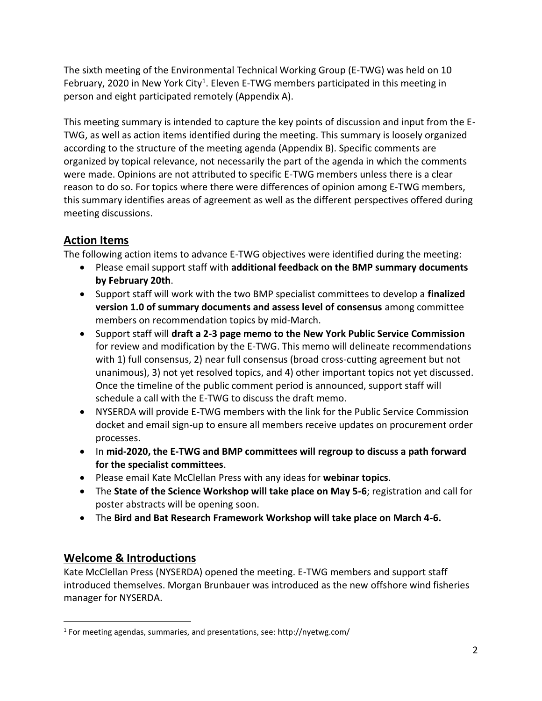The sixth meeting of the Environmental Technical Working Group (E-TWG) was held on 10 February, 2020 in New York City<sup>1</sup>. Eleven E-TWG members participated in this meeting in person and eight participated remotely (Appendix A).

This meeting summary is intended to capture the key points of discussion and input from the E-TWG, as well as action items identified during the meeting. This summary is loosely organized according to the structure of the meeting agenda (Appendix B). Specific comments are organized by topical relevance, not necessarily the part of the agenda in which the comments were made. Opinions are not attributed to specific E-TWG members unless there is a clear reason to do so. For topics where there were differences of opinion among E-TWG members, this summary identifies areas of agreement as well as the different perspectives offered during meeting discussions.

# **Action Items**

The following action items to advance E-TWG objectives were identified during the meeting:

- Please email support staff with **additional feedback on the BMP summary documents by February 20th**.
- Support staff will work with the two BMP specialist committees to develop a **finalized version 1.0 of summary documents and assess level of consensus** among committee members on recommendation topics by mid-March.
- Support staff will **draft a 2-3 page memo to the New York Public Service Commission** for review and modification by the E-TWG. This memo will delineate recommendations with 1) full consensus, 2) near full consensus (broad cross-cutting agreement but not unanimous), 3) not yet resolved topics, and 4) other important topics not yet discussed. Once the timeline of the public comment period is announced, support staff will schedule a call with the E-TWG to discuss the draft memo.
- NYSERDA will provide E-TWG members with the link for the Public Service Commission docket and email sign-up to ensure all members receive updates on procurement order processes.
- In **mid-2020, the E-TWG and BMP committees will regroup to discuss a path forward for the specialist committees**.
- Please email Kate McClellan Press with any ideas for **webinar topics**.
- The **State of the Science Workshop will take place on May 5-6**; registration and call for poster abstracts will be opening soon.
- The **Bird and Bat Research Framework Workshop will take place on March 4-6.**

## **Welcome & Introductions**

 $\overline{a}$ 

Kate McClellan Press (NYSERDA) opened the meeting. E-TWG members and support staff introduced themselves. Morgan Brunbauer was introduced as the new offshore wind fisheries manager for NYSERDA.

<sup>&</sup>lt;sup>1</sup> For meeting agendas, summaries, and presentations, see: http://nyetwg.com/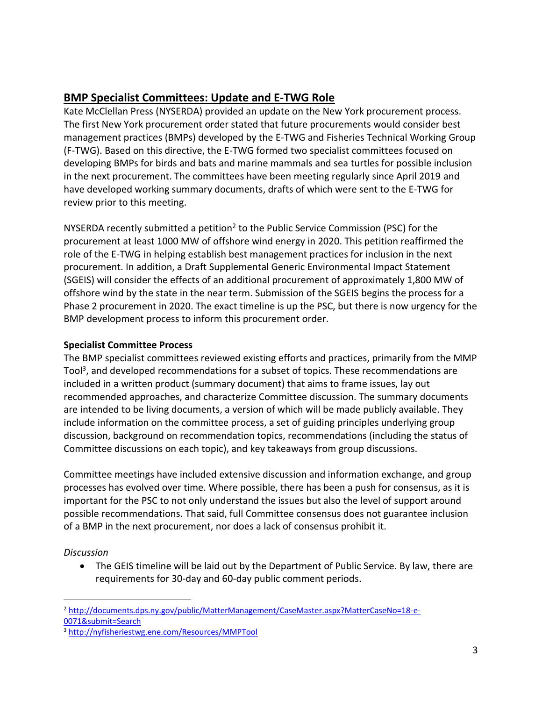# **BMP Specialist Committees: Update and E-TWG Role**

Kate McClellan Press (NYSERDA) provided an update on the New York procurement process. The first New York procurement order stated that future procurements would consider best management practices (BMPs) developed by the E-TWG and Fisheries Technical Working Group (F-TWG). Based on this directive, the E-TWG formed two specialist committees focused on developing BMPs for birds and bats and marine mammals and sea turtles for possible inclusion in the next procurement. The committees have been meeting regularly since April 2019 and have developed working summary documents, drafts of which were sent to the E-TWG for review prior to this meeting.

NYSERDA recently submitted a petition<sup>2</sup> to the Public Service Commission (PSC) for the procurement at least 1000 MW of offshore wind energy in 2020. This petition reaffirmed the role of the E-TWG in helping establish best management practices for inclusion in the next procurement. In addition, a Draft Supplemental Generic Environmental Impact Statement (SGEIS) will consider the effects of an additional procurement of approximately 1,800 MW of offshore wind by the state in the near term. Submission of the SGEIS begins the process for a Phase 2 procurement in 2020. The exact timeline is up the PSC, but there is now urgency for the BMP development process to inform this procurement order.

### **Specialist Committee Process**

The BMP specialist committees reviewed existing efforts and practices, primarily from the MMP Tool<sup>3</sup>, and developed recommendations for a subset of topics. These recommendations are included in a written product (summary document) that aims to frame issues, lay out recommended approaches, and characterize Committee discussion. The summary documents are intended to be living documents, a version of which will be made publicly available. They include information on the committee process, a set of guiding principles underlying group discussion, background on recommendation topics, recommendations (including the status of Committee discussions on each topic), and key takeaways from group discussions.

Committee meetings have included extensive discussion and information exchange, and group processes has evolved over time. Where possible, there has been a push for consensus, as it is important for the PSC to not only understand the issues but also the level of support around possible recommendations. That said, full Committee consensus does not guarantee inclusion of a BMP in the next procurement, nor does a lack of consensus prohibit it.

### *Discussion*

• The GEIS timeline will be laid out by the Department of Public Service. By law, there are requirements for 30-day and 60-day public comment periods.

 $\overline{a}$ <sup>2</sup> [http://documents.dps.ny.gov/public/MatterManagement/CaseMaster.aspx?MatterCaseNo=18-e-](http://documents.dps.ny.gov/public/MatterManagement/CaseMaster.aspx?MatterCaseNo=18-e-0071&submit=Search)[0071&submit=Search](http://documents.dps.ny.gov/public/MatterManagement/CaseMaster.aspx?MatterCaseNo=18-e-0071&submit=Search)

<sup>3</sup> <http://nyfisheriestwg.ene.com/Resources/MMPTool>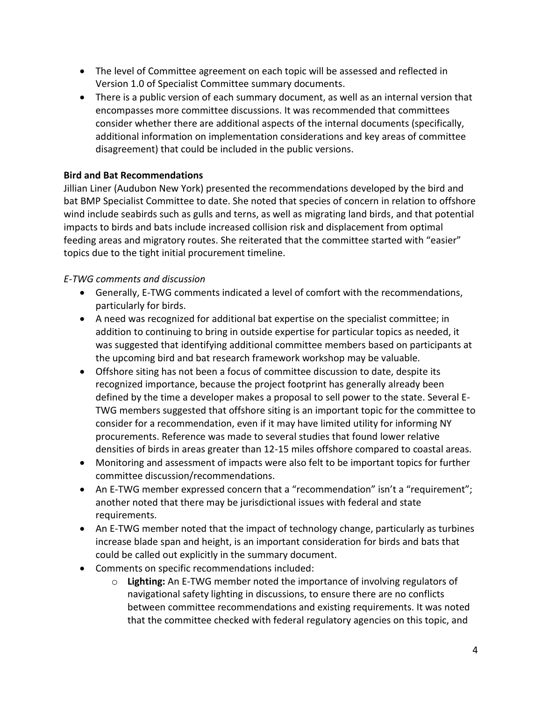- The level of Committee agreement on each topic will be assessed and reflected in Version 1.0 of Specialist Committee summary documents.
- There is a public version of each summary document, as well as an internal version that encompasses more committee discussions. It was recommended that committees consider whether there are additional aspects of the internal documents (specifically, additional information on implementation considerations and key areas of committee disagreement) that could be included in the public versions.

#### **Bird and Bat Recommendations**

Jillian Liner (Audubon New York) presented the recommendations developed by the bird and bat BMP Specialist Committee to date. She noted that species of concern in relation to offshore wind include seabirds such as gulls and terns, as well as migrating land birds, and that potential impacts to birds and bats include increased collision risk and displacement from optimal feeding areas and migratory routes. She reiterated that the committee started with "easier" topics due to the tight initial procurement timeline.

#### *E-TWG comments and discussion*

- Generally, E-TWG comments indicated a level of comfort with the recommendations, particularly for birds.
- A need was recognized for additional bat expertise on the specialist committee; in addition to continuing to bring in outside expertise for particular topics as needed, it was suggested that identifying additional committee members based on participants at the upcoming bird and bat research framework workshop may be valuable.
- Offshore siting has not been a focus of committee discussion to date, despite its recognized importance, because the project footprint has generally already been defined by the time a developer makes a proposal to sell power to the state. Several E-TWG members suggested that offshore siting is an important topic for the committee to consider for a recommendation, even if it may have limited utility for informing NY procurements. Reference was made to several studies that found lower relative densities of birds in areas greater than 12-15 miles offshore compared to coastal areas.
- Monitoring and assessment of impacts were also felt to be important topics for further committee discussion/recommendations.
- An E-TWG member expressed concern that a "recommendation" isn't a "requirement"; another noted that there may be jurisdictional issues with federal and state requirements.
- An E-TWG member noted that the impact of technology change, particularly as turbines increase blade span and height, is an important consideration for birds and bats that could be called out explicitly in the summary document.
- Comments on specific recommendations included:
	- o **Lighting:** An E-TWG member noted the importance of involving regulators of navigational safety lighting in discussions, to ensure there are no conflicts between committee recommendations and existing requirements. It was noted that the committee checked with federal regulatory agencies on this topic, and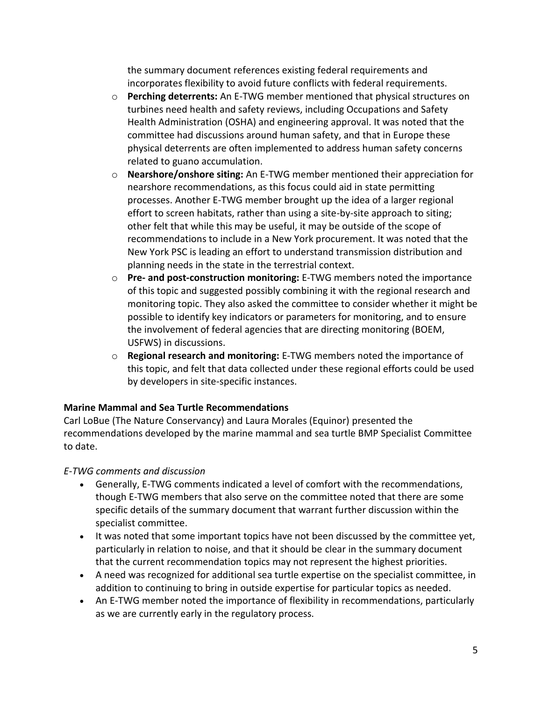the summary document references existing federal requirements and incorporates flexibility to avoid future conflicts with federal requirements.

- o **Perching deterrents:** An E-TWG member mentioned that physical structures on turbines need health and safety reviews, including Occupations and Safety Health Administration (OSHA) and engineering approval. It was noted that the committee had discussions around human safety, and that in Europe these physical deterrents are often implemented to address human safety concerns related to guano accumulation.
- o **Nearshore/onshore siting:** An E-TWG member mentioned their appreciation for nearshore recommendations, as this focus could aid in state permitting processes. Another E-TWG member brought up the idea of a larger regional effort to screen habitats, rather than using a site-by-site approach to siting; other felt that while this may be useful, it may be outside of the scope of recommendations to include in a New York procurement. It was noted that the New York PSC is leading an effort to understand transmission distribution and planning needs in the state in the terrestrial context.
- o **Pre- and post-construction monitoring:** E-TWG members noted the importance of this topic and suggested possibly combining it with the regional research and monitoring topic. They also asked the committee to consider whether it might be possible to identify key indicators or parameters for monitoring, and to ensure the involvement of federal agencies that are directing monitoring (BOEM, USFWS) in discussions.
- o **Regional research and monitoring:** E-TWG members noted the importance of this topic, and felt that data collected under these regional efforts could be used by developers in site-specific instances.

### **Marine Mammal and Sea Turtle Recommendations**

Carl LoBue (The Nature Conservancy) and Laura Morales (Equinor) presented the recommendations developed by the marine mammal and sea turtle BMP Specialist Committee to date.

### *E-TWG comments and discussion*

- Generally, E-TWG comments indicated a level of comfort with the recommendations, though E-TWG members that also serve on the committee noted that there are some specific details of the summary document that warrant further discussion within the specialist committee.
- It was noted that some important topics have not been discussed by the committee yet, particularly in relation to noise, and that it should be clear in the summary document that the current recommendation topics may not represent the highest priorities.
- A need was recognized for additional sea turtle expertise on the specialist committee, in addition to continuing to bring in outside expertise for particular topics as needed.
- An E-TWG member noted the importance of flexibility in recommendations, particularly as we are currently early in the regulatory process.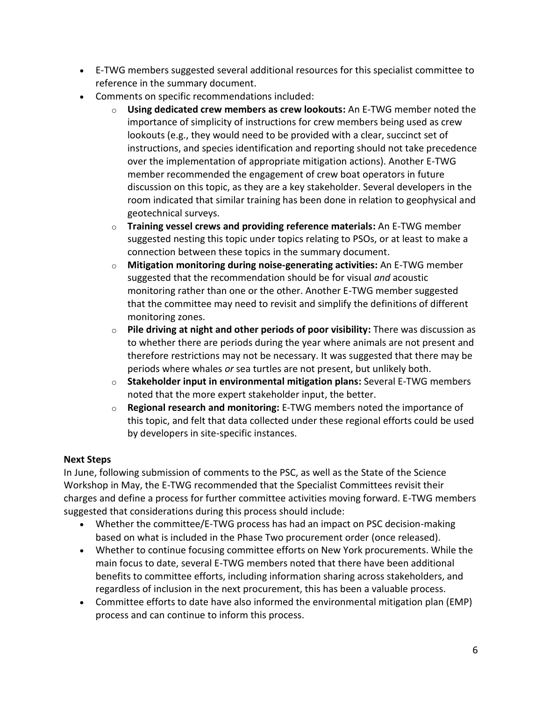- E-TWG members suggested several additional resources for this specialist committee to reference in the summary document.
- Comments on specific recommendations included:
	- o **Using dedicated crew members as crew lookouts:** An E-TWG member noted the importance of simplicity of instructions for crew members being used as crew lookouts (e.g., they would need to be provided with a clear, succinct set of instructions, and species identification and reporting should not take precedence over the implementation of appropriate mitigation actions). Another E-TWG member recommended the engagement of crew boat operators in future discussion on this topic, as they are a key stakeholder. Several developers in the room indicated that similar training has been done in relation to geophysical and geotechnical surveys.
	- o **Training vessel crews and providing reference materials:** An E-TWG member suggested nesting this topic under topics relating to PSOs, or at least to make a connection between these topics in the summary document.
	- o **Mitigation monitoring during noise-generating activities:** An E-TWG member suggested that the recommendation should be for visual *and* acoustic monitoring rather than one or the other. Another E-TWG member suggested that the committee may need to revisit and simplify the definitions of different monitoring zones.
	- o **Pile driving at night and other periods of poor visibility:** There was discussion as to whether there are periods during the year where animals are not present and therefore restrictions may not be necessary. It was suggested that there may be periods where whales *or* sea turtles are not present, but unlikely both.
	- o **Stakeholder input in environmental mitigation plans:** Several E-TWG members noted that the more expert stakeholder input, the better.
	- o **Regional research and monitoring:** E-TWG members noted the importance of this topic, and felt that data collected under these regional efforts could be used by developers in site-specific instances.

#### **Next Steps**

In June, following submission of comments to the PSC, as well as the State of the Science Workshop in May, the E-TWG recommended that the Specialist Committees revisit their charges and define a process for further committee activities moving forward. E-TWG members suggested that considerations during this process should include:

- Whether the committee/E-TWG process has had an impact on PSC decision-making based on what is included in the Phase Two procurement order (once released).
- Whether to continue focusing committee efforts on New York procurements. While the main focus to date, several E-TWG members noted that there have been additional benefits to committee efforts, including information sharing across stakeholders, and regardless of inclusion in the next procurement, this has been a valuable process.
- Committee efforts to date have also informed the environmental mitigation plan (EMP) process and can continue to inform this process.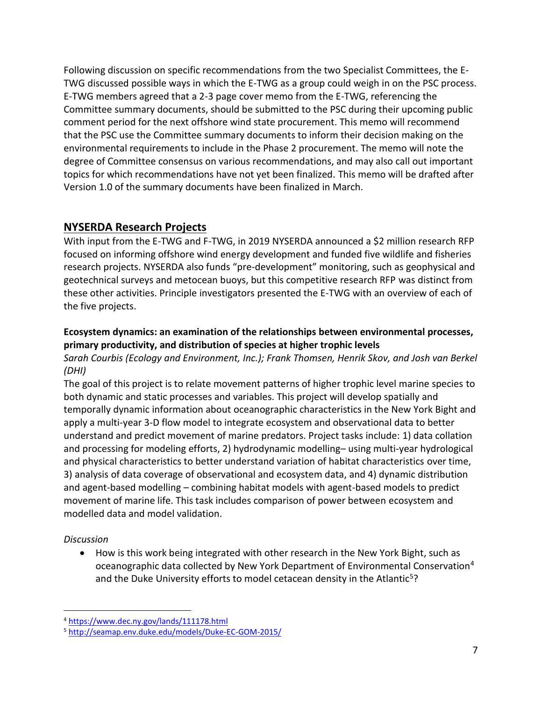Following discussion on specific recommendations from the two Specialist Committees, the E-TWG discussed possible ways in which the E-TWG as a group could weigh in on the PSC process. E-TWG members agreed that a 2-3 page cover memo from the E-TWG, referencing the Committee summary documents, should be submitted to the PSC during their upcoming public comment period for the next offshore wind state procurement. This memo will recommend that the PSC use the Committee summary documents to inform their decision making on the environmental requirements to include in the Phase 2 procurement. The memo will note the degree of Committee consensus on various recommendations, and may also call out important topics for which recommendations have not yet been finalized. This memo will be drafted after Version 1.0 of the summary documents have been finalized in March.

### **NYSERDA Research Projects**

With input from the E-TWG and F-TWG, in 2019 NYSERDA announced a \$2 million research RFP focused on informing offshore wind energy development and funded five wildlife and fisheries research projects. NYSERDA also funds "pre-development" monitoring, such as geophysical and geotechnical surveys and metocean buoys, but this competitive research RFP was distinct from these other activities. Principle investigators presented the E-TWG with an overview of each of the five projects.

### **Ecosystem dynamics: an examination of the relationships between environmental processes, primary productivity, and distribution of species at higher trophic levels**

*Sarah Courbis (Ecology and Environment, Inc.); Frank Thomsen, Henrik Skov, and Josh van Berkel (DHI)*

The goal of this project is to relate movement patterns of higher trophic level marine species to both dynamic and static processes and variables. This project will develop spatially and temporally dynamic information about oceanographic characteristics in the New York Bight and apply a multi-year 3-D flow model to integrate ecosystem and observational data to better understand and predict movement of marine predators. Project tasks include: 1) data collation and processing for modeling efforts, 2) hydrodynamic modelling– using multi-year hydrological and physical characteristics to better understand variation of habitat characteristics over time, 3) analysis of data coverage of observational and ecosystem data, and 4) dynamic distribution and agent-based modelling – combining habitat models with agent-based models to predict movement of marine life. This task includes comparison of power between ecosystem and modelled data and model validation.

#### *Discussion*

 $\overline{a}$ 

• How is this work being integrated with other research in the New York Bight, such as oceanographic data collected by New York Department of Environmental Conservation<sup>4</sup> and the Duke University efforts to model cetacean density in the Atlantic<sup>5</sup>?

<sup>4</sup> <https://www.dec.ny.gov/lands/111178.html>

<sup>5</sup> <http://seamap.env.duke.edu/models/Duke-EC-GOM-2015/>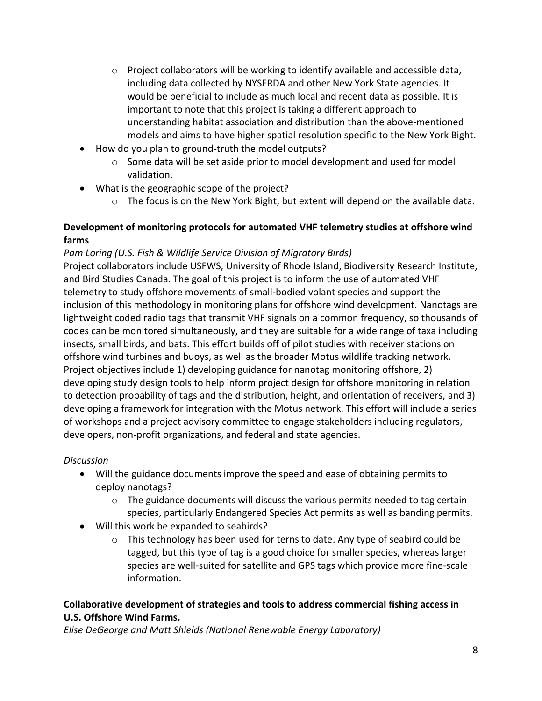- $\circ$  Project collaborators will be working to identify available and accessible data, including data collected by NYSERDA and other New York State agencies. It would be beneficial to include as much local and recent data as possible. It is important to note that this project is taking a different approach to understanding habitat association and distribution than the above-mentioned models and aims to have higher spatial resolution specific to the New York Bight.
- How do you plan to ground-truth the model outputs?
	- $\circ$  Some data will be set aside prior to model development and used for model validation.
- What is the geographic scope of the project?
	- $\circ$  The focus is on the New York Bight, but extent will depend on the available data.

### **Development of monitoring protocols for automated VHF telemetry studies at offshore wind farms**

#### *Pam Loring (U.S. Fish & Wildlife Service Division of Migratory Birds)*

Project collaborators include USFWS, University of Rhode Island, Biodiversity Research Institute, and Bird Studies Canada. The goal of this project is to inform the use of automated VHF telemetry to study offshore movements of small-bodied volant species and support the inclusion of this methodology in monitoring plans for offshore wind development. Nanotags are lightweight coded radio tags that transmit VHF signals on a common frequency, so thousands of codes can be monitored simultaneously, and they are suitable for a wide range of taxa including insects, small birds, and bats. This effort builds off of pilot studies with receiver stations on offshore wind turbines and buoys, as well as the broader Motus wildlife tracking network. Project objectives include 1) developing guidance for nanotag monitoring offshore, 2) developing study design tools to help inform project design for offshore monitoring in relation to detection probability of tags and the distribution, height, and orientation of receivers, and 3) developing a framework for integration with the Motus network. This effort will include a series of workshops and a project advisory committee to engage stakeholders including regulators, developers, non-profit organizations, and federal and state agencies.

#### *Discussion*

- Will the guidance documents improve the speed and ease of obtaining permits to deploy nanotags?
	- $\circ$  The guidance documents will discuss the various permits needed to tag certain species, particularly Endangered Species Act permits as well as banding permits.
- Will this work be expanded to seabirds?
	- o This technology has been used for terns to date. Any type of seabird could be tagged, but this type of tag is a good choice for smaller species, whereas larger species are well-suited for satellite and GPS tags which provide more fine-scale information.

#### **Collaborative development of strategies and tools to address commercial fishing access in U.S. Offshore Wind Farms.**

*Elise DeGeorge and Matt Shields (National Renewable Energy Laboratory)*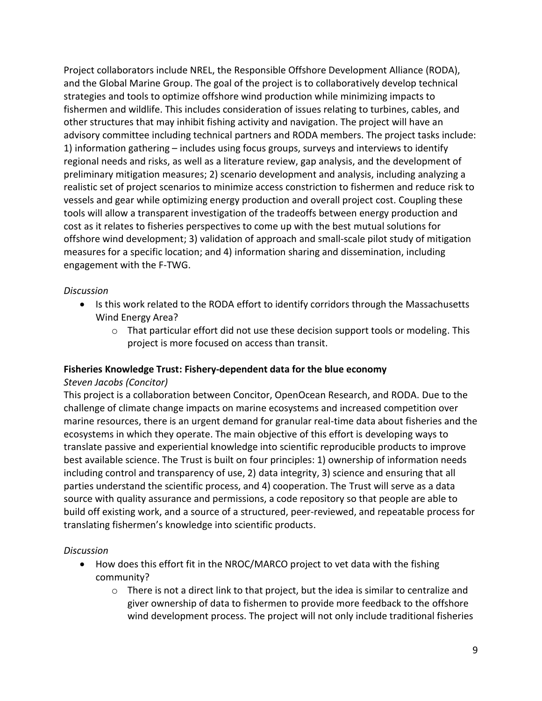Project collaborators include NREL, the Responsible Offshore Development Alliance (RODA), and the Global Marine Group. The goal of the project is to collaboratively develop technical strategies and tools to optimize offshore wind production while minimizing impacts to fishermen and wildlife. This includes consideration of issues relating to turbines, cables, and other structures that may inhibit fishing activity and navigation. The project will have an advisory committee including technical partners and RODA members. The project tasks include: 1) information gathering – includes using focus groups, surveys and interviews to identify regional needs and risks, as well as a literature review, gap analysis, and the development of preliminary mitigation measures; 2) scenario development and analysis, including analyzing a realistic set of project scenarios to minimize access constriction to fishermen and reduce risk to vessels and gear while optimizing energy production and overall project cost. Coupling these tools will allow a transparent investigation of the tradeoffs between energy production and cost as it relates to fisheries perspectives to come up with the best mutual solutions for offshore wind development; 3) validation of approach and small-scale pilot study of mitigation measures for a specific location; and 4) information sharing and dissemination, including engagement with the F-TWG.

#### *Discussion*

- Is this work related to the RODA effort to identify corridors through the Massachusetts Wind Energy Area?
	- o That particular effort did not use these decision support tools or modeling. This project is more focused on access than transit.

#### **Fisheries Knowledge Trust: Fishery-dependent data for the blue economy**

#### *Steven Jacobs (Concitor)*

This project is a collaboration between Concitor, OpenOcean Research, and RODA. Due to the challenge of climate change impacts on marine ecosystems and increased competition over marine resources, there is an urgent demand for granular real-time data about fisheries and the ecosystems in which they operate. The main objective of this effort is developing ways to translate passive and experiential knowledge into scientific reproducible products to improve best available science. The Trust is built on four principles: 1) ownership of information needs including control and transparency of use, 2) data integrity, 3) science and ensuring that all parties understand the scientific process, and 4) cooperation. The Trust will serve as a data source with quality assurance and permissions, a code repository so that people are able to build off existing work, and a source of a structured, peer-reviewed, and repeatable process for translating fishermen's knowledge into scientific products.

#### *Discussion*

- How does this effort fit in the NROC/MARCO project to vet data with the fishing community?
	- $\circ$  There is not a direct link to that project, but the idea is similar to centralize and giver ownership of data to fishermen to provide more feedback to the offshore wind development process. The project will not only include traditional fisheries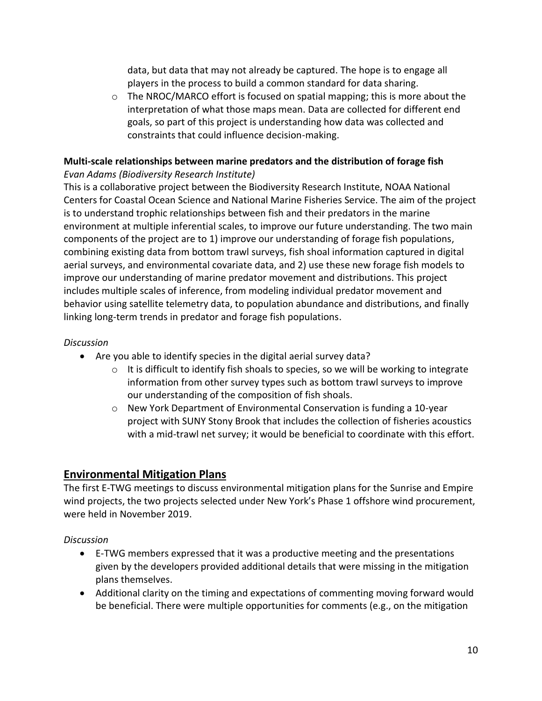data, but data that may not already be captured. The hope is to engage all players in the process to build a common standard for data sharing.

 $\circ$  The NROC/MARCO effort is focused on spatial mapping; this is more about the interpretation of what those maps mean. Data are collected for different end goals, so part of this project is understanding how data was collected and constraints that could influence decision-making.

#### **Multi-scale relationships between marine predators and the distribution of forage fish** *Evan Adams (Biodiversity Research Institute)*

This is a collaborative project between the Biodiversity Research Institute, NOAA National Centers for Coastal Ocean Science and National Marine Fisheries Service. The aim of the project is to understand trophic relationships between fish and their predators in the marine environment at multiple inferential scales, to improve our future understanding. The two main components of the project are to 1) improve our understanding of forage fish populations, combining existing data from bottom trawl surveys, fish shoal information captured in digital aerial surveys, and environmental covariate data, and 2) use these new forage fish models to improve our understanding of marine predator movement and distributions. This project includes multiple scales of inference, from modeling individual predator movement and behavior using satellite telemetry data, to population abundance and distributions, and finally linking long-term trends in predator and forage fish populations.

#### *Discussion*

- Are you able to identify species in the digital aerial survey data?
	- $\circ$  It is difficult to identify fish shoals to species, so we will be working to integrate information from other survey types such as bottom trawl surveys to improve our understanding of the composition of fish shoals.
	- $\circ$  New York Department of Environmental Conservation is funding a 10-year project with SUNY Stony Brook that includes the collection of fisheries acoustics with a mid-trawl net survey; it would be beneficial to coordinate with this effort.

## **Environmental Mitigation Plans**

The first E-TWG meetings to discuss environmental mitigation plans for the Sunrise and Empire wind projects, the two projects selected under New York's Phase 1 offshore wind procurement, were held in November 2019.

*Discussion*

- E-TWG members expressed that it was a productive meeting and the presentations given by the developers provided additional details that were missing in the mitigation plans themselves.
- Additional clarity on the timing and expectations of commenting moving forward would be beneficial. There were multiple opportunities for comments (e.g., on the mitigation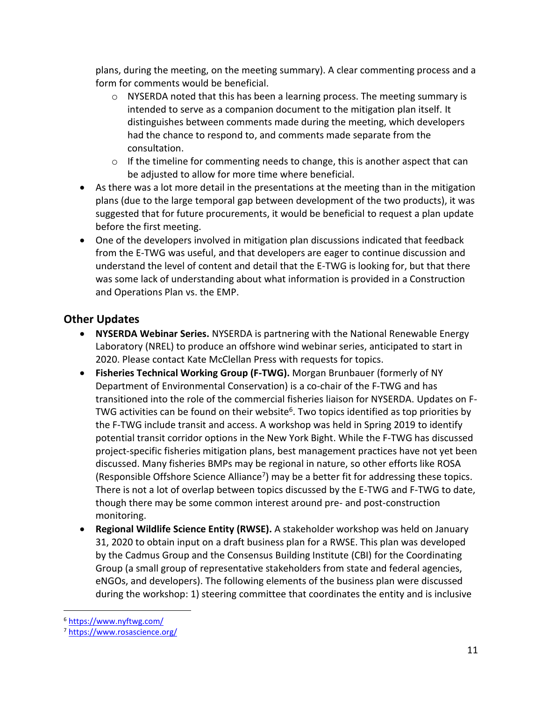plans, during the meeting, on the meeting summary). A clear commenting process and a form for comments would be beneficial.

- $\circ$  NYSERDA noted that this has been a learning process. The meeting summary is intended to serve as a companion document to the mitigation plan itself. It distinguishes between comments made during the meeting, which developers had the chance to respond to, and comments made separate from the consultation.
- $\circ$  If the timeline for commenting needs to change, this is another aspect that can be adjusted to allow for more time where beneficial.
- As there was a lot more detail in the presentations at the meeting than in the mitigation plans (due to the large temporal gap between development of the two products), it was suggested that for future procurements, it would be beneficial to request a plan update before the first meeting.
- One of the developers involved in mitigation plan discussions indicated that feedback from the E-TWG was useful, and that developers are eager to continue discussion and understand the level of content and detail that the E-TWG is looking for, but that there was some lack of understanding about what information is provided in a Construction and Operations Plan vs. the EMP.

# **Other Updates**

- **NYSERDA Webinar Series.** NYSERDA is partnering with the National Renewable Energy Laboratory (NREL) to produce an offshore wind webinar series, anticipated to start in 2020. Please contact Kate McClellan Press with requests for topics.
- **Fisheries Technical Working Group (F-TWG).** Morgan Brunbauer (formerly of NY Department of Environmental Conservation) is a co-chair of the F-TWG and has transitioned into the role of the commercial fisheries liaison for NYSERDA. Updates on F-TWG activities can be found on their website<sup>6</sup>. Two topics identified as top priorities by the F-TWG include transit and access. A workshop was held in Spring 2019 to identify potential transit corridor options in the New York Bight. While the F-TWG has discussed project-specific fisheries mitigation plans, best management practices have not yet been discussed. Many fisheries BMPs may be regional in nature, so other efforts like ROSA (Responsible Offshore Science Alliance<sup>7</sup>) may be a better fit for addressing these topics. There is not a lot of overlap between topics discussed by the E-TWG and F-TWG to date, though there may be some common interest around pre- and post-construction monitoring.
- **Regional Wildlife Science Entity (RWSE).** A stakeholder workshop was held on January 31, 2020 to obtain input on a draft business plan for a RWSE. This plan was developed by the Cadmus Group and the Consensus Building Institute (CBI) for the Coordinating Group (a small group of representative stakeholders from state and federal agencies, eNGOs, and developers). The following elements of the business plan were discussed during the workshop: 1) steering committee that coordinates the entity and is inclusive

 $\overline{a}$ <sup>6</sup> <https://www.nyftwg.com/>

<sup>7</sup> <https://www.rosascience.org/>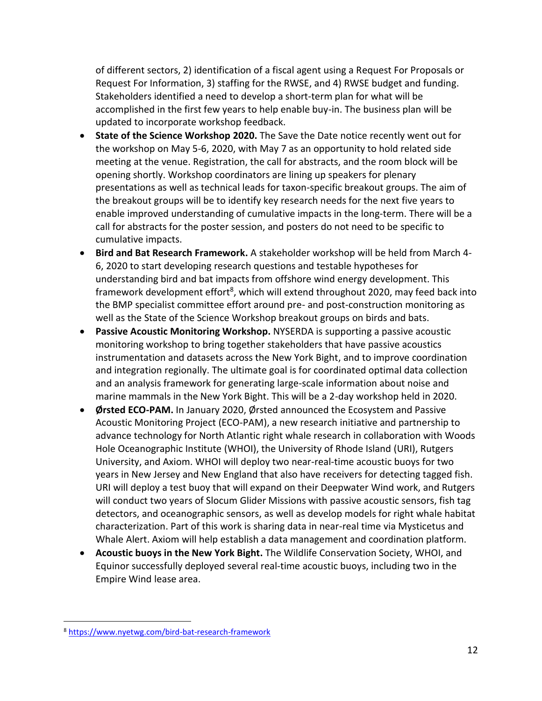of different sectors, 2) identification of a fiscal agent using a Request For Proposals or Request For Information, 3) staffing for the RWSE, and 4) RWSE budget and funding. Stakeholders identified a need to develop a short-term plan for what will be accomplished in the first few years to help enable buy-in. The business plan will be updated to incorporate workshop feedback.

- **State of the Science Workshop 2020.** The Save the Date notice recently went out for the workshop on May 5-6, 2020, with May 7 as an opportunity to hold related side meeting at the venue. Registration, the call for abstracts, and the room block will be opening shortly. Workshop coordinators are lining up speakers for plenary presentations as well as technical leads for taxon-specific breakout groups. The aim of the breakout groups will be to identify key research needs for the next five years to enable improved understanding of cumulative impacts in the long-term. There will be a call for abstracts for the poster session, and posters do not need to be specific to cumulative impacts.
- **Bird and Bat Research Framework.** A stakeholder workshop will be held from March 4- 6, 2020 to start developing research questions and testable hypotheses for understanding bird and bat impacts from offshore wind energy development. This framework development effort<sup>8</sup>, which will extend throughout 2020, may feed back into the BMP specialist committee effort around pre- and post-construction monitoring as well as the State of the Science Workshop breakout groups on birds and bats.
- **Passive Acoustic Monitoring Workshop.** NYSERDA is supporting a passive acoustic monitoring workshop to bring together stakeholders that have passive acoustics instrumentation and datasets across the New York Bight, and to improve coordination and integration regionally. The ultimate goal is for coordinated optimal data collection and an analysis framework for generating large-scale information about noise and marine mammals in the New York Bight. This will be a 2-day workshop held in 2020.
- **Ørsted ECO-PAM.** In January 2020, Ørsted announced the Ecosystem and Passive Acoustic Monitoring Project (ECO-PAM), a new research initiative and partnership to advance technology for North Atlantic right whale research in collaboration with Woods Hole Oceanographic Institute (WHOI), the University of Rhode Island (URI), Rutgers University, and Axiom. WHOI will deploy two near-real-time acoustic buoys for two years in New Jersey and New England that also have receivers for detecting tagged fish. URI will deploy a test buoy that will expand on their Deepwater Wind work, and Rutgers will conduct two years of Slocum Glider Missions with passive acoustic sensors, fish tag detectors, and oceanographic sensors, as well as develop models for right whale habitat characterization. Part of this work is sharing data in near-real time via Mysticetus and Whale Alert. Axiom will help establish a data management and coordination platform.
- **Acoustic buoys in the New York Bight.** The Wildlife Conservation Society, WHOI, and Equinor successfully deployed several real-time acoustic buoys, including two in the Empire Wind lease area.

 $\overline{a}$ 

<sup>8</sup> <https://www.nyetwg.com/bird-bat-research-framework>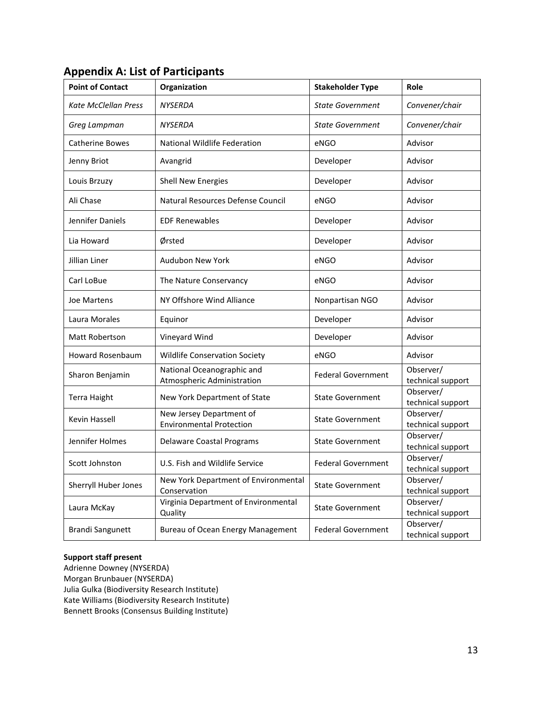| <b>Point of Contact</b>     | Organization                                                | <b>Stakeholder Type</b>   | Role                           |
|-----------------------------|-------------------------------------------------------------|---------------------------|--------------------------------|
| <b>Kate McClellan Press</b> | <b>NYSERDA</b>                                              | <b>State Government</b>   | Convener/chair                 |
| Greg Lampman                | <b>NYSERDA</b>                                              | <b>State Government</b>   | Convener/chair                 |
| Catherine Bowes             | National Wildlife Federation                                | eNGO                      | Advisor                        |
| Jenny Briot                 | Avangrid                                                    | Developer                 | Advisor                        |
| Louis Brzuzy                | <b>Shell New Energies</b>                                   | Developer                 | Advisor                        |
| Ali Chase                   | Natural Resources Defense Council                           | eNGO                      | Advisor                        |
| Jennifer Daniels            | <b>EDF Renewables</b>                                       | Developer                 | Advisor                        |
| Lia Howard                  | Ørsted                                                      | Developer                 | Advisor                        |
| Jillian Liner               | <b>Audubon New York</b>                                     | eNGO                      | Advisor                        |
| Carl LoBue                  | The Nature Conservancy                                      | eNGO                      | Advisor                        |
| Joe Martens                 | NY Offshore Wind Alliance                                   | Nonpartisan NGO           | Advisor                        |
| Laura Morales               | Equinor                                                     | Developer                 | Advisor                        |
| Matt Robertson              | Vineyard Wind                                               | Developer                 | Advisor                        |
| <b>Howard Rosenbaum</b>     | <b>Wildlife Conservation Society</b>                        | eNGO                      | Advisor                        |
| Sharon Benjamin             | National Oceanographic and<br>Atmospheric Administration    | <b>Federal Government</b> | Observer/<br>technical support |
| <b>Terra Haight</b>         | New York Department of State                                | <b>State Government</b>   | Observer/<br>technical support |
| Kevin Hassell               | New Jersey Department of<br><b>Environmental Protection</b> | <b>State Government</b>   | Observer/<br>technical support |
| Jennifer Holmes             | <b>Delaware Coastal Programs</b>                            | <b>State Government</b>   | Observer/<br>technical support |
| Scott Johnston              | U.S. Fish and Wildlife Service                              | <b>Federal Government</b> | Observer/<br>technical support |
| Sherryll Huber Jones        | New York Department of Environmental<br>Conservation        | <b>State Government</b>   | Observer/<br>technical support |
| Laura McKay                 | Virginia Department of Environmental<br>Quality             | <b>State Government</b>   | Observer/<br>technical support |
| Brandi Sangunett            | <b>Bureau of Ocean Energy Management</b>                    | <b>Federal Government</b> | Observer/<br>technical support |

# **Appendix A: List of Participants**

#### **Support staff present**

Adrienne Downey (NYSERDA) Morgan Brunbauer (NYSERDA) Julia Gulka (Biodiversity Research Institute) Kate Williams (Biodiversity Research Institute) Bennett Brooks (Consensus Building Institute)